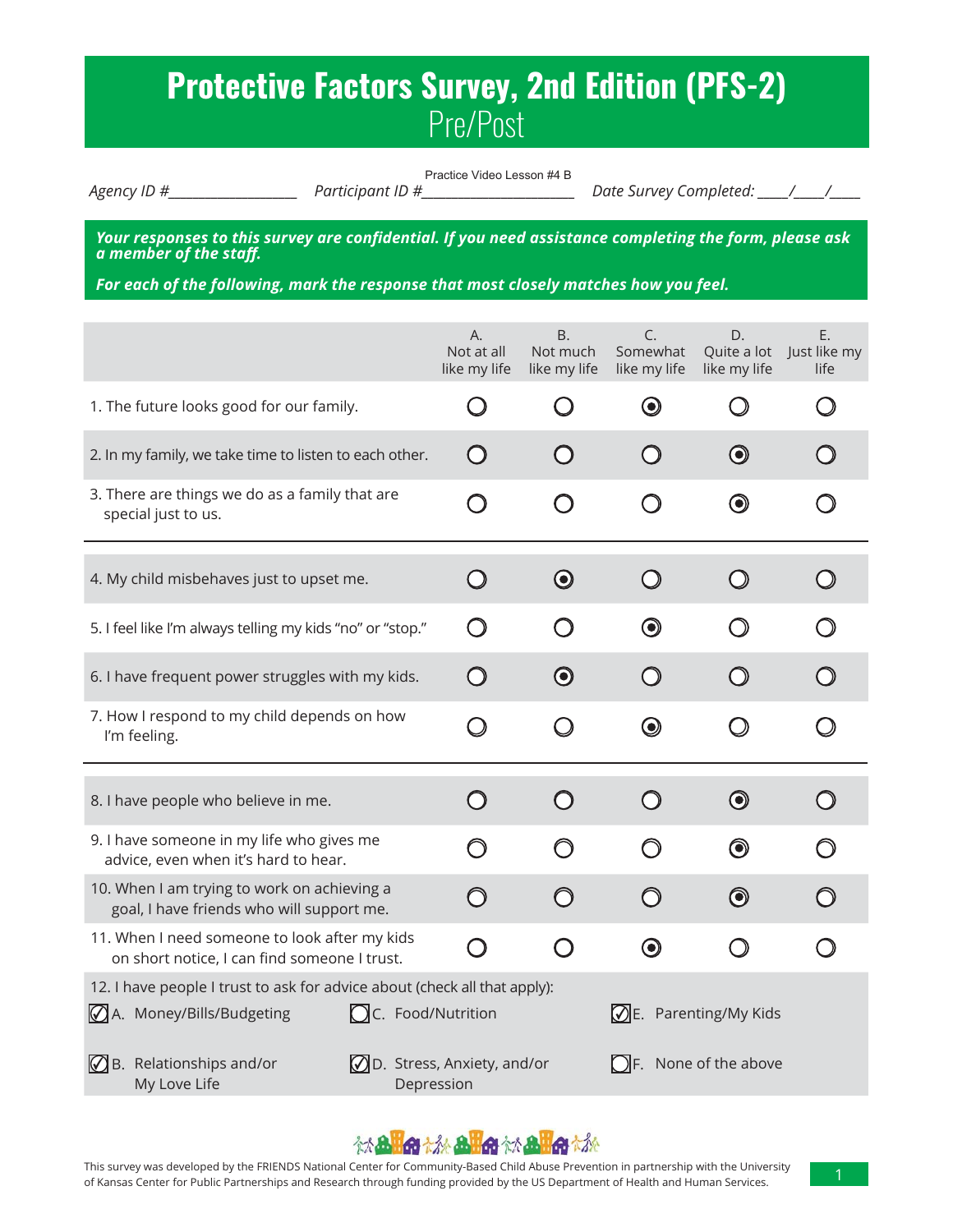# **Protective Factors Survey, 2nd Edition (PFS-2)** Pre/Post

Practice Video Lesson #4 B

*Agency ID #\_\_\_\_\_\_\_\_\_\_\_\_\_\_\_\_\_\_\_\_\_ Participant ID #\_\_\_\_\_\_\_\_\_\_\_\_\_\_\_\_\_\_\_\_\_\_\_\_\_ Date Survey Completed: \_\_\_\_\_/\_\_\_\_\_/\_\_\_\_\_*

*Your responses to this survey are confidential. If you need assistance completing the form, please ask*<br>a member of the staff.

For each of the following, mark the response that most closely matches how you feel.

|                                                                                                                                    | А.<br>Not at all<br>like my life                                                   | Β.<br>Not much<br>like my life                | C.<br>Somewhat<br>like my life     | D.<br>Quite a lot<br>like my life | E.<br>Just like my<br>life |  |
|------------------------------------------------------------------------------------------------------------------------------------|------------------------------------------------------------------------------------|-----------------------------------------------|------------------------------------|-----------------------------------|----------------------------|--|
| 1. The future looks good for our family.                                                                                           |                                                                                    | $\left( \begin{array}{c} \end{array} \right)$ | $\bf \odot$                        |                                   |                            |  |
| 2. In my family, we take time to listen to each other.                                                                             | $\bigcirc$                                                                         |                                               |                                    | $\bm{\odot}$                      |                            |  |
| 3. There are things we do as a family that are<br>special just to us.                                                              | ו                                                                                  | $\Box$                                        |                                    | $\bf{O}$                          |                            |  |
| 4. My child misbehaves just to upset me.                                                                                           | $\Box$                                                                             | $\odot$                                       | $\bigcirc$                         | $\bigcirc$                        |                            |  |
| 5. I feel like I'm always telling my kids "no" or "stop."                                                                          | Ω                                                                                  | $\tilde{\phantom{0}}$                         | $\bm{\odot}$                       |                                   |                            |  |
| 6. I have frequent power struggles with my kids.                                                                                   | $\bigcap$                                                                          | $\boldsymbol{\odot}$                          | $\bigcirc$                         | $\bigcirc$                        |                            |  |
| 7. How I respond to my child depends on how<br>I'm feeling.                                                                        | $\bigcup$                                                                          | $\bigcirc$                                    | $\bm{\odot}$                       | O                                 |                            |  |
| 8. I have people who believe in me.                                                                                                | $\bigcap$                                                                          | $\bigcap$                                     | $\bigcirc$                         | $\bigcirc$                        |                            |  |
| 9. I have someone in my life who gives me<br>advice, even when it's hard to hear.                                                  | ∩                                                                                  | ∩                                             | ∩                                  | $\bm{\copyright}$                 |                            |  |
| 10. When I am trying to work on achieving a<br>goal, I have friends who will support me.                                           | ∩                                                                                  | ∩                                             | ∩                                  | $\bigcirc$                        |                            |  |
| 11. When I need someone to look after my kids<br>on short notice, I can find someone I trust.                                      | ົ                                                                                  | ∩                                             | $\boldsymbol{\odot}$               | $\bigcirc$                        |                            |  |
| 12. I have people I trust to ask for advice about (check all that apply):<br>A. Money/Bills/Budgeting<br><b>OC.</b> Food/Nutrition |                                                                                    |                                               | $\mathcal{D}$ E. Parenting/My Kids |                                   |                            |  |
| $\mathbb Q$ B. Relationships and/or<br>My Love Life                                                                                | <b>OD.</b> Stress, Anxiety, and/or<br>$\bigcap$ F. None of the above<br>Depression |                                               |                                    |                                   |                            |  |

### **MAHO MAHO MAHO M**

This survey was developed by the FRIENDS National Center for Community-Based Child Abuse Prevention in partnership with the University of Kansas Center for Public Partnerships and Research through funding provided by the US Department of Health and Human Services.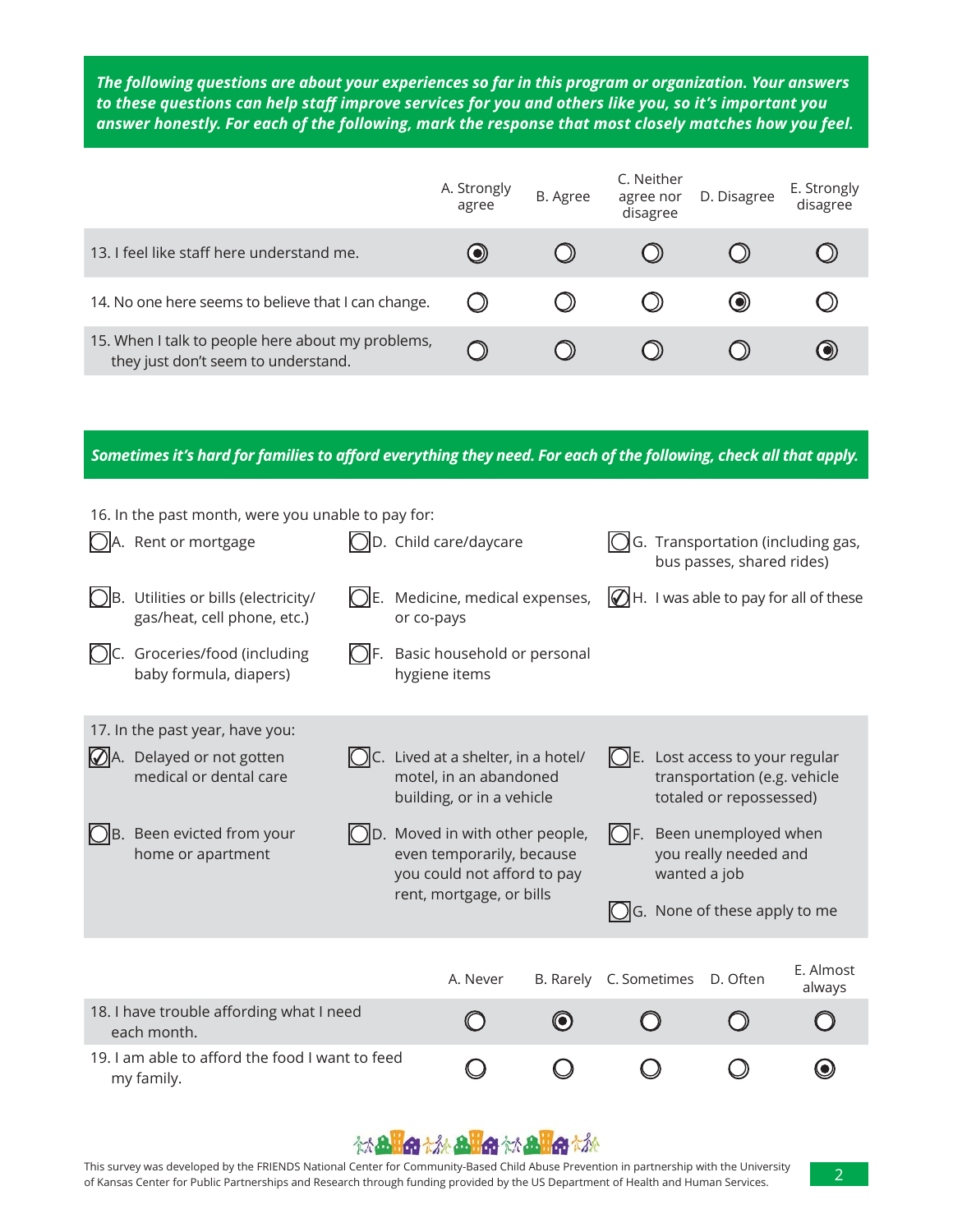The following questions are about your experiences so far in this program or organization. Your answers to these questions can help staff improve services for you and others like you, so it's important you answer honestly. For each of the following, mark the response that most closely matches how you feel.

|                                                                                          | A. Strongly<br>agree | B. Agree | C. Neither<br>agree nor<br>disagree | D. Disagree | E. Strongly<br>disagree |
|------------------------------------------------------------------------------------------|----------------------|----------|-------------------------------------|-------------|-------------------------|
| 13. I feel like staff here understand me.                                                | $\bullet)$           |          |                                     |             |                         |
| 14. No one here seems to believe that I can change.                                      |                      |          |                                     |             |                         |
| 15. When I talk to people here about my problems,<br>they just don't seem to understand. |                      |          |                                     |             |                         |

Sometimes it's hard for families to afford everything they need. For each of the following, check all that apply.

| 16. In the past month, were you unable to pay for:                            |                                                                                                |                                                                                                      |                        |                                                                |              |                                                                                        |                                                    |
|-------------------------------------------------------------------------------|------------------------------------------------------------------------------------------------|------------------------------------------------------------------------------------------------------|------------------------|----------------------------------------------------------------|--------------|----------------------------------------------------------------------------------------|----------------------------------------------------|
| A. Rent or mortgage                                                           | $\Box$ D. Child care/daycare                                                                   |                                                                                                      |                        | G. Transportation (including gas,<br>bus passes, shared rides) |              |                                                                                        |                                                    |
| $\bigcirc$ B. Utilities or bills (electricity/<br>gas/heat, cell phone, etc.) | or co-pays                                                                                     | $\bigcirc$ E. Medicine, medical expenses,                                                            |                        |                                                                |              |                                                                                        | $\mathbb{Q}$ H. I was able to pay for all of these |
| Groceries/food (including<br>baby formula, diapers)                           |                                                                                                | Basic household or personal<br>hygiene items                                                         |                        |                                                                |              |                                                                                        |                                                    |
| 17. In the past year, have you:                                               |                                                                                                |                                                                                                      |                        |                                                                |              |                                                                                        |                                                    |
| $\mathcal{D}$ A. Delayed or not gotten<br>medical or dental care              |                                                                                                | $\bigcirc$ C. Lived at a shelter, in a hotel/<br>motel, in an abandoned<br>building, or in a vehicle |                        |                                                                |              | Lost access to your regular<br>transportation (e.g. vehicle<br>totaled or repossessed) |                                                    |
| $\bigcirc$ B. Been evicted from your<br>home or apartment                     | $[$ D. Moved in with other people,<br>even temporarily, because<br>you could not afford to pay |                                                                                                      |                        | KIF.                                                           | wanted a job | Been unemployed when<br>you really needed and                                          |                                                    |
|                                                                               |                                                                                                | rent, mortgage, or bills                                                                             |                        |                                                                |              | G. None of these apply to me                                                           |                                                    |
|                                                                               |                                                                                                | A. Never                                                                                             | B. Rarely C. Sometimes |                                                                |              | D. Often                                                                               | E. Almost<br>always                                |
| 18. I have trouble affording what I need<br>each month.                       |                                                                                                |                                                                                                      | 0                      |                                                                |              |                                                                                        |                                                    |
| 19. I am able to afford the food I want to feed<br>my family.                 |                                                                                                |                                                                                                      |                        |                                                                |              |                                                                                        |                                                    |

#### 《太**品出命 太永 品出命 《太 品出命 太永**

This survey was developed by the FRIENDS National Center for Community-Based Child Abuse Prevention in partnership with the University of Kansas Center for Public Partnerships and Research through funding provided by the US Department of Health and Human Services.

2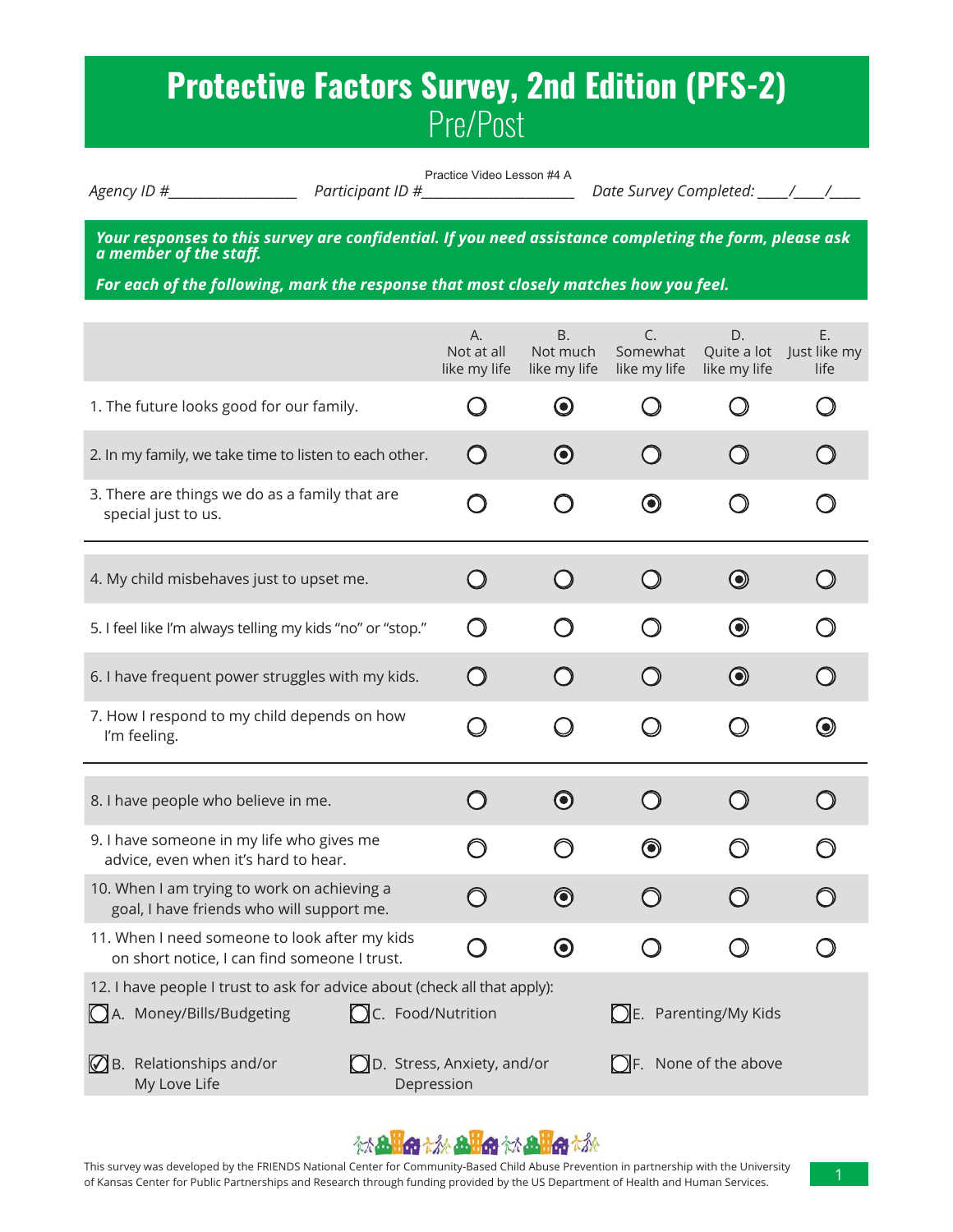# **Protective Factors Survey, 2nd Edition (PFS-2)** Pre/Post

Practice Video Lesson #4 A

*Agency ID #\_\_\_\_\_\_\_\_\_\_\_\_\_\_\_\_\_\_\_\_\_ Participant ID #\_\_\_\_\_\_\_\_\_\_\_\_\_\_\_\_\_\_\_\_\_\_\_\_\_ Date Survey Completed: \_\_\_\_\_/\_\_\_\_\_/\_\_\_\_\_*

*Your responses to this survey are confidential. If you need assistance completing the form, please ask*<br>a member of the staff.

For each of the following, mark the response that most closely matches how you feel.

|                                                                                                                                    | А.<br>Not at all<br>like my life                                           | <b>B.</b><br>Not much<br>like my life | C.<br>Somewhat<br>like my life | D.<br>Quite a lot<br>like my life | Ε.<br>Just like my<br>life |  |
|------------------------------------------------------------------------------------------------------------------------------------|----------------------------------------------------------------------------|---------------------------------------|--------------------------------|-----------------------------------|----------------------------|--|
| 1. The future looks good for our family.                                                                                           |                                                                            | $\boldsymbol{\odot}$                  | ( )                            |                                   |                            |  |
| 2. In my family, we take time to listen to each other.                                                                             | $\bigcirc$                                                                 | $\boldsymbol{\odot}$                  | ( )                            |                                   |                            |  |
| 3. There are things we do as a family that are<br>special just to us.                                                              | ່ )                                                                        | $\bigcap$                             | $\boldsymbol{\odot}$           |                                   |                            |  |
| 4. My child misbehaves just to upset me.                                                                                           | $\left(\begin{array}{c}1\end{array}\right)$                                | $\bigcirc$                            | $\bigcirc$                     | $\bigcirc$                        |                            |  |
| 5. I feel like I'm always telling my kids "no" or "stop."                                                                          | $\left( \begin{array}{c} \lambda \end{array} \right)$                      |                                       |                                | $\bm{\odot}$                      |                            |  |
| 6. I have frequent power struggles with my kids.                                                                                   | $\bigcap$                                                                  | $\bigcap$                             | $\bigcirc$                     | $\bigcirc$                        |                            |  |
| 7. How I respond to my child depends on how<br>I'm feeling.                                                                        | $\bigcirc$                                                                 | O                                     | O                              | O                                 | $\bm{\odot}$               |  |
| 8. I have people who believe in me.                                                                                                | $\bigcap$                                                                  | $\boldsymbol{\odot}$                  | $\bigcirc$                     | $\bigcirc$                        | ( )                        |  |
| 9. I have someone in my life who gives me<br>advice, even when it's hard to hear.                                                  | ∩                                                                          | ∩                                     | $\bm{\copyright}$              |                                   |                            |  |
| 10. When I am trying to work on achieving a<br>goal, I have friends who will support me.                                           | ⌒                                                                          | $\bm{\copyright}$                     | ∩                              |                                   |                            |  |
| 11. When I need someone to look after my kids<br>on short notice, I can find someone I trust.                                      |                                                                            | $\bf{O}$                              | $\bigcirc$                     | $\bigcirc$                        |                            |  |
| 12. I have people I trust to ask for advice about (check all that apply):<br>A. Money/Bills/Budgeting<br><b>OC.</b> Food/Nutrition | $\bigcirc$ E. Parenting/My Kids                                            |                                       |                                |                                   |                            |  |
| $\mathbb Q$ B. Relationships and/or<br>My Love Life                                                                                | D. Stress, Anxiety, and/or<br>$\bigcap$ F. None of the above<br>Depression |                                       |                                |                                   |                            |  |

### **MAHO MAHO MAHO M**

This survey was developed by the FRIENDS National Center for Community-Based Child Abuse Prevention in partnership with the University of Kansas Center for Public Partnerships and Research through funding provided by the US Department of Health and Human Services.